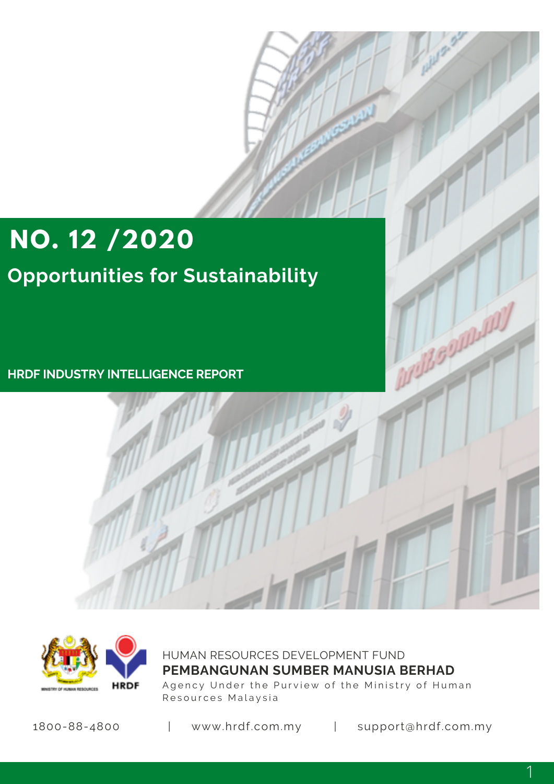# **NO. 12 /2020**

# **Opportunities for Sustainability**

**HRDF INDUSTRY INTELLIGENCE REPORT**



HUMAN RESOURCES DEVELOPMENT FUND Agency Under the Purview of the Ministry of Human Resources Malaysia **PEMBANGUNAN SUMBER MANUSIA BERHAD**

1800-88-4800 | www.hrdf.com.my | support@hrdf.com.my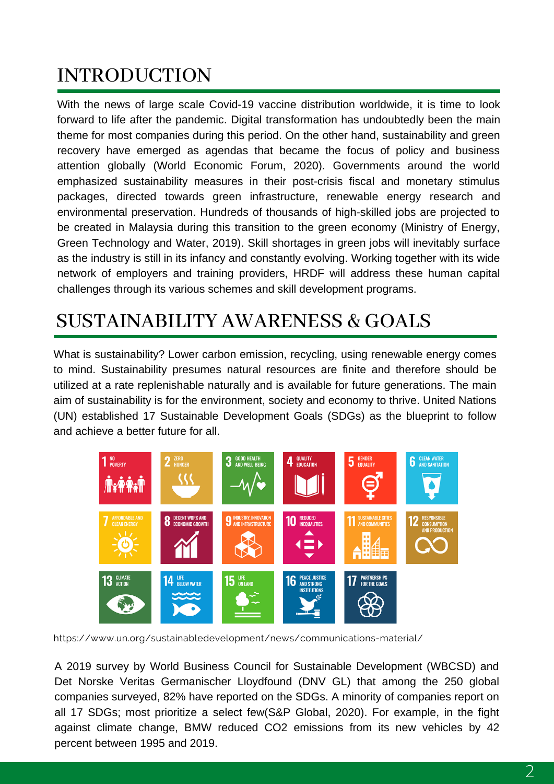### INTRODUCTION

With the news of large scale Covid-19 vaccine distribution worldwide, it is time to look forward to life after the pandemic. Digital transformation has undoubtedly been the main theme for most companies during this period. On the other hand, sustainability and green recovery have emerged as agendas that became the focus of policy and business attention globally (World Economic Forum, 2020). Governments around the world emphasized sustainability measures in their post-crisis fiscal and monetary stimulus packages, directed towards green infrastructure, renewable energy research and environmental preservation. Hundreds of thousands of high-skilled jobs are projected to be created in Malaysia during this transition to the green economy (Ministry of Energy, Green Technology and Water, 2019). Skill shortages in green jobs will inevitably surface as the industry is still in its infancy and constantly evolving. Working together with its wide network of employers and training providers, HRDF will address these human capital challenges through its various schemes and skill development programs.

# SUSTAINABILITY AWARENESS & GOALS

What is sustainability? Lower carbon emission, recycling, using renewable energy comes to mind. Sustainability presumes natural resources are finite and therefore should be utilized at a rate replenishable naturally and is available for future generations. The main aim of sustainability is for the environment, society and economy to thrive. United Nations (UN) established 17 Sustainable Development Goals (SDGs) as the blueprint to follow and achieve a better future for all.



https://www.un.org/sustainabledevelopment/news/communications-material/

A 2019 survey by World Business Council for Sustainable Development (WBCSD) and Det Norske Veritas Germanischer Lloydfound (DNV GL) that among the 250 global companies surveyed, 82% have reported on the SDGs. A minority of companies report on all 17 SDGs; most prioritize a select few(S&P Global, 2020). For example, in the fight against climate change, BMW reduced CO2 emissions from its new vehicles by 42 percent between 1995 and 2019.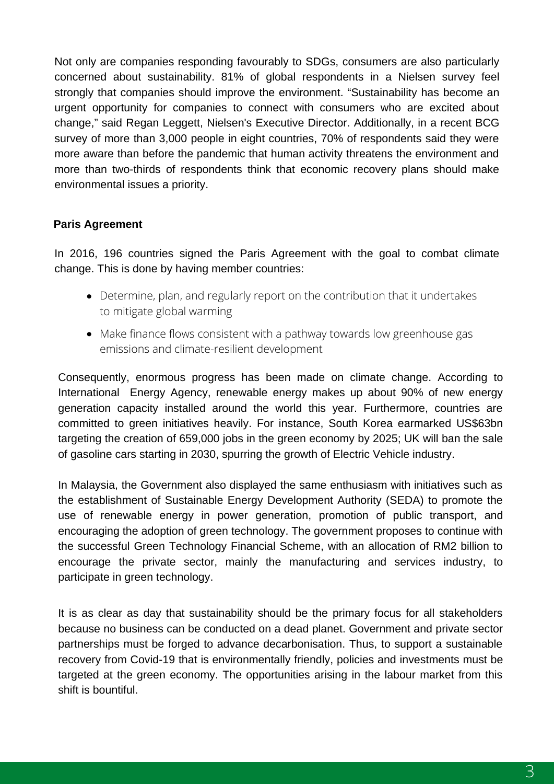Not only are companies responding favourably to SDGs, consumers are also particularly concerned about sustainability. 81% of global respondents in a Nielsen survey feel strongly that companies should improve the environment. "Sustainability has become an urgent opportunity for companies to connect with consumers who are excited about change," said Regan Leggett, Nielsen's Executive Director. Additionally, in a recent BCG survey of more than 3,000 people in eight countries, 70% of respondents said they were more aware than before the pandemic that human activity threatens the environment and more than two-thirds of respondents think that economic recovery plans should make environmental issues a priority.

#### **Paris Agreement**

In 2016, 196 countries signed the Paris Agreement with the goal to combat climate change. This is done by having member countries:

- Determine, plan, and regularly report on the contribution that it undertakes to mitigate global warming
- Make finance flows consistent with a pathway towards low greenhouse gas emissions and climate-resilient development

Consequently, enormous progress has been made on climate change. According to International Energy Agency, renewable energy makes up about 90% of new energy generation capacity installed around the world this year. Furthermore, countries are committed to green initiatives heavily. For instance, South Korea earmarked US\$63bn targeting the creation of 659,000 jobs in the green economy by 2025; UK will ban the sale of gasoline cars starting in 2030, spurring the growth of Electric Vehicle industry.

In Malaysia, the Government also displayed the same enthusiasm with initiatives such as the establishment of Sustainable Energy Development Authority (SEDA) to promote the use of renewable energy in power generation, promotion of public transport, and encouraging the adoption of green technology. The government proposes to continue with the successful Green Technology Financial Scheme, with an allocation of RM2 billion to encourage the private sector, mainly the manufacturing and services industry, to participate in green technology.

It is as clear as day that sustainability should be the primary focus for all stakeholders because no business can be conducted on a dead planet. Government and private sector partnerships must be forged to advance decarbonisation. Thus, to support a sustainable recovery from Covid-19 that is environmentally friendly, policies and investments must be targeted at the green economy. The opportunities arising in the labour market from this shift is bountiful.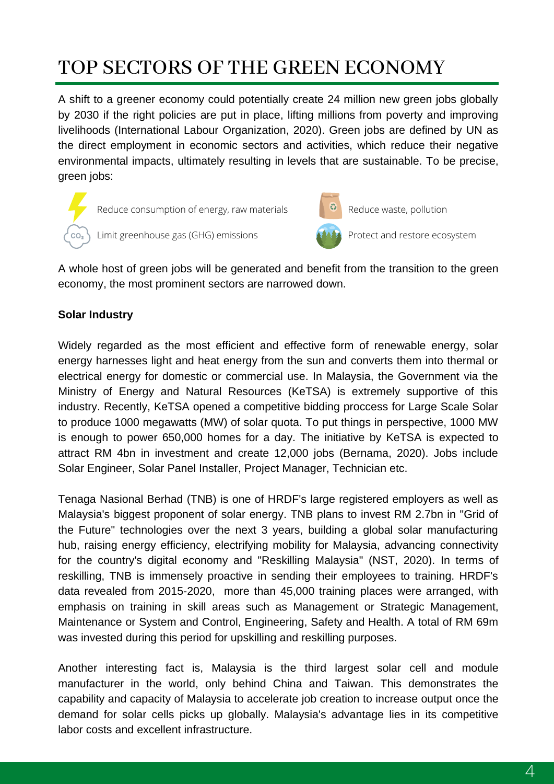# TOP SECTORS OF THE GREEN ECONOMY

A shift to a greener economy could potentially create 24 million new green jobs globally by 2030 if the right policies are put in place, lifting millions from poverty and improving livelihoods (International Labour Organization, 2020). Green jobs are defined by UN as the direct employment in economic sectors and activities, which reduce their negative environmental impacts, ultimately resulting in levels that are sustainable. To be precise, green jobs:

Reduce consumption of energy, raw materials Limit greenhouse gas (GHG) emissions



Reduce waste, pollution

Protect and restore ecosystem

A whole host of green jobs will be generated and benefit from the transition to the green economy, the most prominent sectors are narrowed down.

#### **Solar Industry**

Widely regarded as the most efficient and effective form of renewable energy, solar energy harnesses light and heat energy from the sun and converts them into thermal or electrical energy for domestic or commercial use. In Malaysia, the Government via the Ministry of Energy and Natural Resources (KeTSA) is extremely supportive of this industry. Recently, KeTSA opened a competitive bidding proccess for Large Scale Solar to produce 1000 megawatts (MW) of solar quota. To put things in perspective, 1000 MW is enough to power 650,000 homes for a day. The initiative by KeTSA is expected to attract RM 4bn in investment and create 12,000 jobs (Bernama, 2020). Jobs include Solar Engineer, Solar Panel Installer, Project Manager, Technician etc.

Tenaga Nasional Berhad (TNB) is one of HRDF's large registered employers as well as Malaysia's biggest proponent of solar energy. TNB plans to invest RM 2.7bn in "Grid of the Future" technologies over the next 3 years, building a global solar manufacturing hub, raising energy efficiency, electrifying mobility for Malaysia, advancing connectivity for the country's digital economy and "Reskilling Malaysia" (NST, 2020). In terms of reskilling, TNB is immensely proactive in sending their employees to training. HRDF's data revealed from 2015-2020, more than 45,000 training places were arranged, with emphasis on training in skill areas such as Management or Strategic Management, Maintenance or System and Control, Engineering, Safety and Health. A total of RM 69m was invested during this period for upskilling and reskilling purposes.

Another interesting fact is, Malaysia is the third largest solar cell and module manufacturer in the world, only behind China and Taiwan. This demonstrates the capability and capacity of Malaysia to accelerate job creation to increase output once the demand for solar cells picks up globally. Malaysia's advantage lies in its competitive labor costs and excellent infrastructure.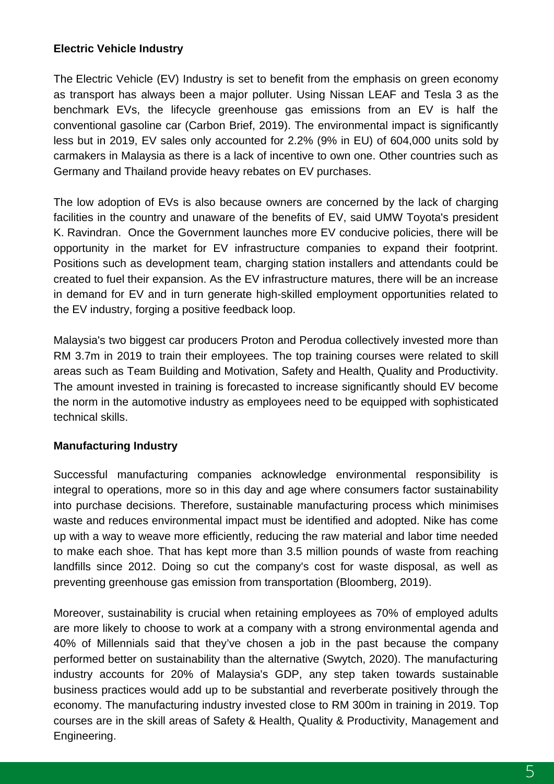#### **Electric Vehicle Industry**

The Electric Vehicle (EV) Industry is set to benefit from the emphasis on green economy as transport has always been a major polluter. Using Nissan LEAF and Tesla 3 as the benchmark EVs, the lifecycle greenhouse gas emissions from an EV is half the conventional gasoline car (Carbon Brief, 2019). The environmental impact is significantly less but in 2019, EV sales only accounted for 2.2% (9% in EU) of 604,000 units sold by carmakers in Malaysia as there is a lack of incentive to own one. Other countries such as Germany and Thailand provide heavy rebates on EV purchases.

The low adoption of EVs is also because owners are concerned by the lack of charging facilities in the country and unaware of the benefits of EV, said UMW Toyota's president K. Ravindran. Once the Government launches more EV conducive policies, there will be opportunity in the market for EV infrastructure companies to expand their footprint. Positions such as development team, charging station installers and attendants could be created to fuel their expansion. As the EV infrastructure matures, there will be an increase in demand for EV and in turn generate high-skilled employment opportunities related to the EV industry, forging a positive feedback loop.

Malaysia's two biggest car producers Proton and Perodua collectively invested more than RM 3.7m in 2019 to train their employees. The top training courses were related to skill areas such as Team Building and Motivation, Safety and Health, Quality and Productivity. The amount invested in training is forecasted to increase significantly should EV become the norm in the automotive industry as employees need to be equipped with sophisticated technical skills.

#### **Manufacturing Industry**

Successful manufacturing companies acknowledge environmental responsibility is integral to operations, more so in this day and age where consumers factor sustainability into purchase decisions. Therefore, sustainable manufacturing process which minimises waste and reduces environmental impact must be identified and adopted. Nike has come up with a way to weave more efficiently, reducing the raw material and labor time needed to make each shoe. That has kept more than 3.5 million pounds of waste from reaching landfills since 2012. Doing so cut the company's cost for waste disposal, as well as preventing greenhouse gas emission from transportation (Bloomberg, 2019).

Moreover, sustainability is crucial when retaining employees as 70% of employed adults are more likely to choose to work at a company with a strong environmental agenda and 40% of Millennials said that they've chosen a job in the past because the company performed better on sustainability than the alternative (Swytch, 2020). The manufacturing industry accounts for 20% of Malaysia's GDP, any step taken towards sustainable business practices would add up to be substantial and reverberate positively through the economy. The manufacturing industry invested close to RM 300m in training in 2019. Top courses are in the skill areas of Safety & Health, Quality & Productivity, Management and Engineering.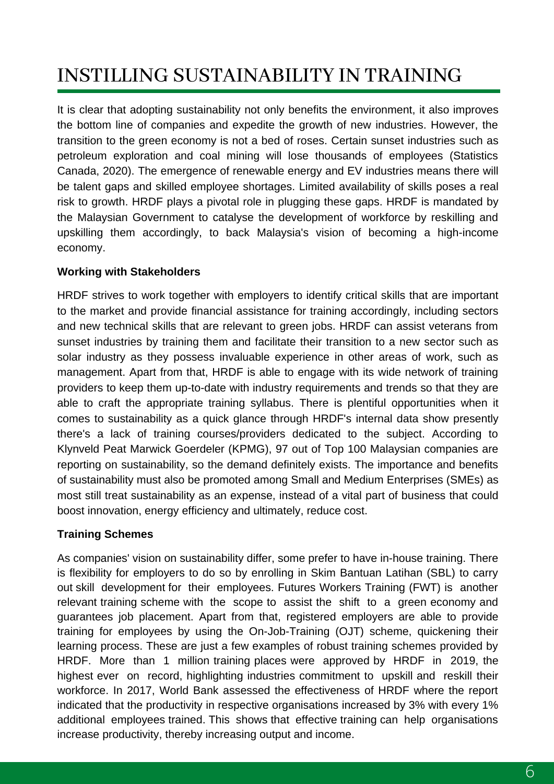# INSTILLING SUSTAINABILITY IN TRAINING

It is clear that adopting sustainability not only benefits the environment, it also improves the bottom line of companies and expedite the growth of new industries. However, the transition to the green economy is not a bed of roses. Certain sunset industries such as petroleum exploration and coal mining will lose thousands of employees (Statistics Canada, 2020). The emergence of renewable energy and EV industries means there will be talent gaps and skilled employee shortages. Limited availability of skills poses a real risk to growth. HRDF plays a pivotal role in plugging these gaps. HRDF is mandated by the Malaysian Government to catalyse the development of workforce by reskilling and upskilling them accordingly, to back Malaysia's vision of becoming a high-income economy.

#### **Working with Stakeholders**

HRDF strives to work together with employers to identify critical skills that are important to the market and provide financial assistance for training accordingly, including sectors and new technical skills that are relevant to green jobs. HRDF can assist veterans from sunset industries by training them and facilitate their transition to a new sector such as solar industry as they possess invaluable experience in other areas of work, such as management. Apart from that, HRDF is able to engage with its wide network of training providers to keep them up-to-date with industry requirements and trends so that they are able to craft the appropriate training syllabus. There is plentiful opportunities when it comes to sustainability as a quick glance through HRDF's internal data show presently there's a lack of training courses/providers dedicated to the subject. According to Klynveld Peat Marwick Goerdeler (KPMG), 97 out of Top 100 Malaysian companies are reporting on sustainability, so the demand definitely exists. The importance and benefits of sustainability must also be promoted among Small and Medium Enterprises (SMEs) as most still treat sustainability as an expense, instead of a vital part of business that could boost innovation, energy efficiency and ultimately, reduce cost.

#### **Training Schemes**

As companies' vision on sustainability differ, some prefer to have in-house training. There is flexibility for employers to do so by enrolling in Skim Bantuan Latihan (SBL) to carry out skill development for their employees. Futures Workers Training (FWT) is another relevant training scheme with the scope to assist the shift to a green economy and guarantees job placement. Apart from that, registered employers are able to provide training for employees by using the On-Job-Training (OJT) scheme, quickening their learning process. These are just a few examples of robust training schemes provided by HRDF. More than 1 million training places were approved by HRDF in 2019, the highest ever on record, highlighting industries commitment to upskill and reskill their workforce. In 2017, World Bank assessed the effectiveness of HRDF where the report indicated that the productivity in respective organisations increased by 3% with every 1% additional employees trained. This shows that effective training can help organisations increase productivity, thereby increasing output and income.